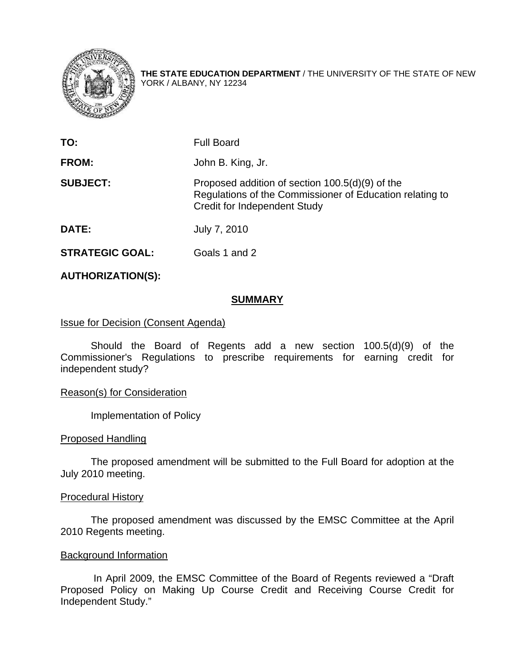

**THE STATE EDUCATION DEPARTMENT** / THE UNIVERSITY OF THE STATE OF NEW YORK / ALBANY, NY 12234

| TO:             | <b>Full Board</b>                                                                                                                                  |
|-----------------|----------------------------------------------------------------------------------------------------------------------------------------------------|
| <b>FROM:</b>    | John B. King, Jr.                                                                                                                                  |
| <b>SUBJECT:</b> | Proposed addition of section 100.5(d)(9) of the<br>Regulations of the Commissioner of Education relating to<br><b>Credit for Independent Study</b> |
| <b>DATE:</b>    | July 7, 2010                                                                                                                                       |

**STRATEGIC GOAL:** Goals 1 and 2

# **AUTHORIZATION(S):**

### **SUMMARY**

### **Issue for Decision (Consent Agenda)**

 Should the Board of Regents add a new section 100.5(d)(9) of the Commissioner's Regulations to prescribe requirements for earning credit for independent study?

### Reason(s) for Consideration

Implementation of Policy

### Proposed Handling

 The proposed amendment will be submitted to the Full Board for adoption at the July 2010 meeting.

### Procedural History

The proposed amendment was discussed by the EMSC Committee at the April 2010 Regents meeting.

### Background Information

 In April 2009, the EMSC Committee of the Board of Regents reviewed a "Draft Proposed Policy on Making Up Course Credit and Receiving Course Credit for Independent Study."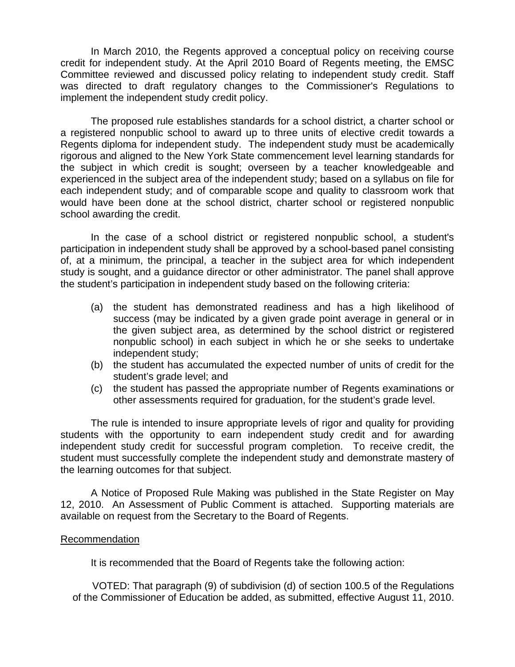In March 2010, the Regents approved a conceptual policy on receiving course credit for independent study. At the April 2010 Board of Regents meeting, the EMSC Committee reviewed and discussed policy relating to independent study credit. Staff was directed to draft regulatory changes to the Commissioner's Regulations to implement the independent study credit policy.

 The proposed rule establishes standards for a school district, a charter school or a registered nonpublic school to award up to three units of elective credit towards a Regents diploma for independent study. The independent study must be academically rigorous and aligned to the New York State commencement level learning standards for the subject in which credit is sought; overseen by a teacher knowledgeable and experienced in the subject area of the independent study; based on a syllabus on file for each independent study; and of comparable scope and quality to classroom work that would have been done at the school district, charter school or registered nonpublic school awarding the credit.

In the case of a school district or registered nonpublic school, a student's participation in independent study shall be approved by a school-based panel consisting of, at a minimum, the principal, a teacher in the subject area for which independent study is sought, and a guidance director or other administrator. The panel shall approve the student's participation in independent study based on the following criteria:

- (a) the student has demonstrated readiness and has a high likelihood of success (may be indicated by a given grade point average in general or in the given subject area, as determined by the school district or registered nonpublic school) in each subject in which he or she seeks to undertake independent study;
- (b) the student has accumulated the expected number of units of credit for the student's grade level; and
- (c) the student has passed the appropriate number of Regents examinations or other assessments required for graduation, for the student's grade level.

 The rule is intended to insure appropriate levels of rigor and quality for providing students with the opportunity to earn independent study credit and for awarding independent study credit for successful program completion. To receive credit, the student must successfully complete the independent study and demonstrate mastery of the learning outcomes for that subject.

 A Notice of Proposed Rule Making was published in the State Register on May 12, 2010. An Assessment of Public Comment is attached. Supporting materials are available on request from the Secretary to the Board of Regents.

## Recommendation

It is recommended that the Board of Regents take the following action:

 VOTED: That paragraph (9) of subdivision (d) of section 100.5 of the Regulations of the Commissioner of Education be added, as submitted, effective August 11, 2010.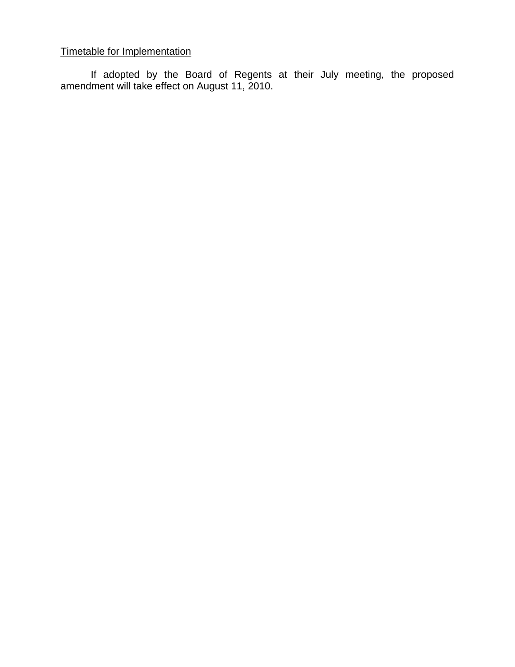# Timetable for Implementation

If adopted by the Board of Regents at their July meeting, the proposed amendment will take effect on August 11, 2010.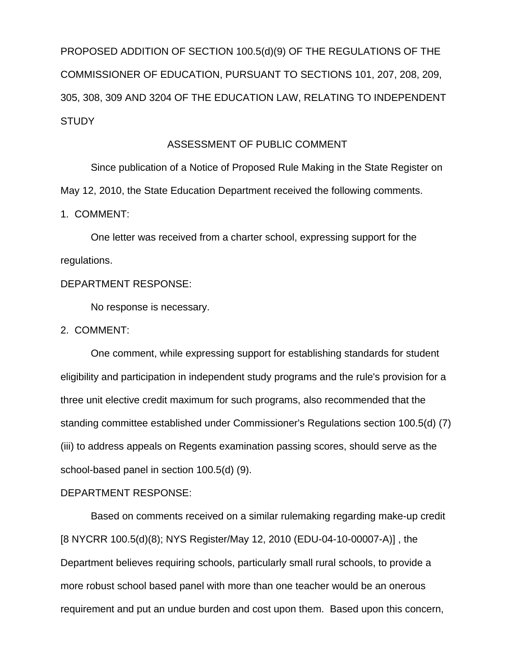PROPOSED ADDITION OF SECTION 100.5(d)(9) OF THE REGULATIONS OF THE COMMISSIONER OF EDUCATION, PURSUANT TO SECTIONS 101, 207, 208, 209, 305, 308, 309 AND 3204 OF THE EDUCATION LAW, RELATING TO INDEPENDENT **STUDY** 

### ASSESSMENT OF PUBLIC COMMENT

 Since publication of a Notice of Proposed Rule Making in the State Register on May 12, 2010, the State Education Department received the following comments.

1. COMMENT:

 One letter was received from a charter school, expressing support for the regulations.

# DEPARTMENT RESPONSE:

No response is necessary.

2. COMMENT:

 One comment, while expressing support for establishing standards for student eligibility and participation in independent study programs and the rule's provision for a three unit elective credit maximum for such programs, also recommended that the standing committee established under Commissioner's Regulations section 100.5(d) (7) (iii) to address appeals on Regents examination passing scores, should serve as the school-based panel in section 100.5(d) (9).

### DEPARTMENT RESPONSE:

Based on comments received on a similar rulemaking regarding make-up credit [8 NYCRR 100.5(d)(8); NYS Register/May 12, 2010 (EDU-04-10-00007-A)] , the Department believes requiring schools, particularly small rural schools, to provide a more robust school based panel with more than one teacher would be an onerous requirement and put an undue burden and cost upon them. Based upon this concern,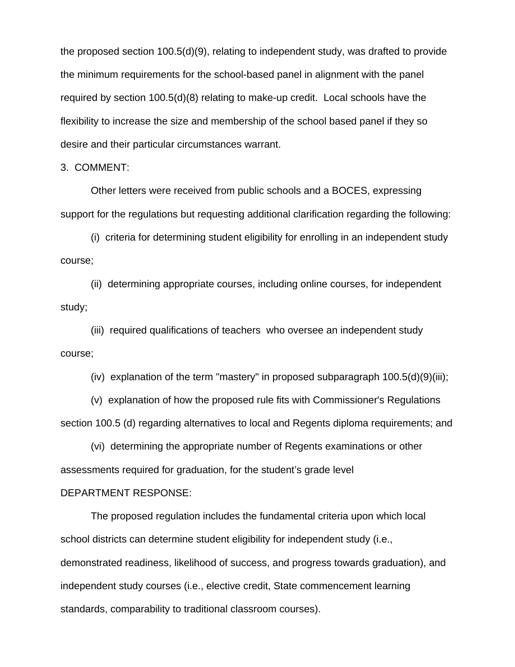the proposed section 100.5(d)(9), relating to independent study, was drafted to provide the minimum requirements for the school-based panel in alignment with the panel required by section 100.5(d)(8) relating to make-up credit. Local schools have the flexibility to increase the size and membership of the school based panel if they so desire and their particular circumstances warrant.

3. COMMENT:

 Other letters were received from public schools and a BOCES, expressing support for the regulations but requesting additional clarification regarding the following:

 (i) criteria for determining student eligibility for enrolling in an independent study course;

 (ii) determining appropriate courses, including online courses, for independent study;

 (iii) required qualifications of teachers who oversee an independent study course;

(iv) explanation of the term "mastery" in proposed subparagraph  $100.5(d)(9)(iii)$ ;

 (v) explanation of how the proposed rule fits with Commissioner's Regulations section 100.5 (d) regarding alternatives to local and Regents diploma requirements; and

 (vi) determining the appropriate number of Regents examinations or other assessments required for graduation, for the student's grade level

## DEPARTMENT RESPONSE:

 The proposed regulation includes the fundamental criteria upon which local school districts can determine student eligibility for independent study (i.e., demonstrated readiness, likelihood of success, and progress towards graduation), and independent study courses (i.e., elective credit, State commencement learning standards, comparability to traditional classroom courses).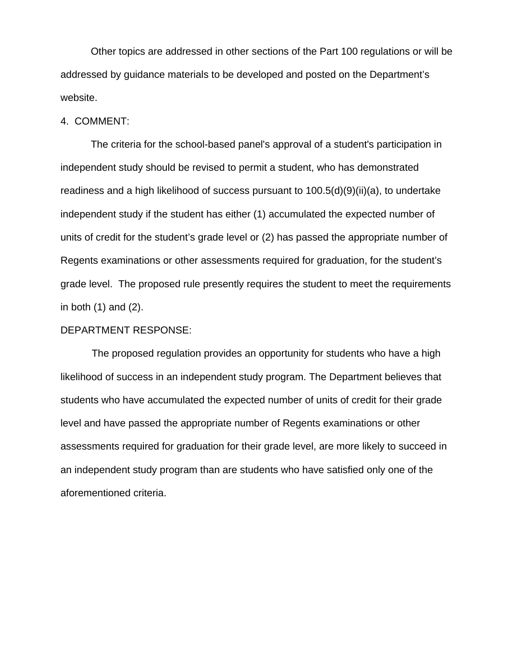Other topics are addressed in other sections of the Part 100 regulations or will be addressed by guidance materials to be developed and posted on the Department's website.

### 4. COMMENT:

 The criteria for the school-based panel's approval of a student's participation in independent study should be revised to permit a student, who has demonstrated readiness and a high likelihood of success pursuant to 100.5(d)(9)(ii)(a), to undertake independent study if the student has either (1) accumulated the expected number of units of credit for the student's grade level or (2) has passed the appropriate number of Regents examinations or other assessments required for graduation, for the student's grade level. The proposed rule presently requires the student to meet the requirements in both  $(1)$  and  $(2)$ .

### DEPARTMENT RESPONSE:

The proposed regulation provides an opportunity for students who have a high likelihood of success in an independent study program. The Department believes that students who have accumulated the expected number of units of credit for their grade level and have passed the appropriate number of Regents examinations or other assessments required for graduation for their grade level, are more likely to succeed in an independent study program than are students who have satisfied only one of the aforementioned criteria.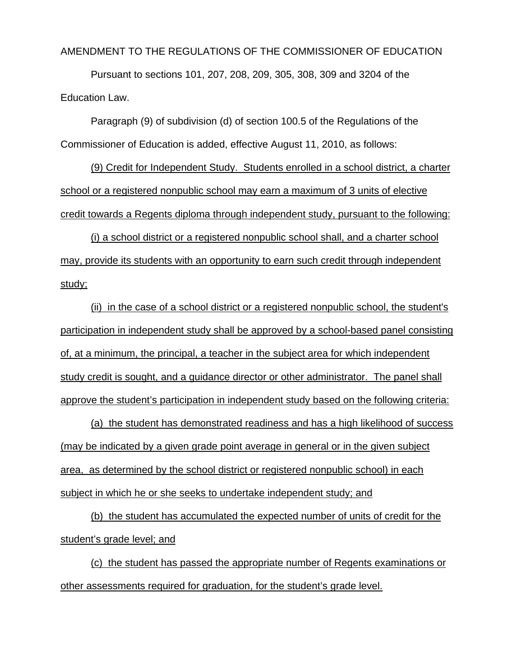AMENDMENT TO THE REGULATIONS OF THE COMMISSIONER OF EDUCATION

Pursuant to sections 101, 207, 208, 209, 305, 308, 309 and 3204 of the Education Law.

Paragraph (9) of subdivision (d) of section 100.5 of the Regulations of the Commissioner of Education is added, effective August 11, 2010, as follows:

(9) Credit for Independent Study. Students enrolled in a school district, a charter school or a registered nonpublic school may earn a maximum of 3 units of elective credit towards a Regents diploma through independent study, pursuant to the following:

(i) a school district or a registered nonpublic school shall, and a charter school may, provide its students with an opportunity to earn such credit through independent study;

(ii) in the case of a school district or a registered nonpublic school, the student's participation in independent study shall be approved by a school-based panel consisting of, at a minimum, the principal, a teacher in the subject area for which independent study credit is sought, and a guidance director or other administrator. The panel shall approve the student's participation in independent study based on the following criteria:

(a) the student has demonstrated readiness and has a high likelihood of success (may be indicated by a given grade point average in general or in the given subject area, as determined by the school district or registered nonpublic school) in each subject in which he or she seeks to undertake independent study; and

(b) the student has accumulated the expected number of units of credit for the student's grade level; and

(c) the student has passed the appropriate number of Regents examinations or other assessments required for graduation, for the student's grade level.